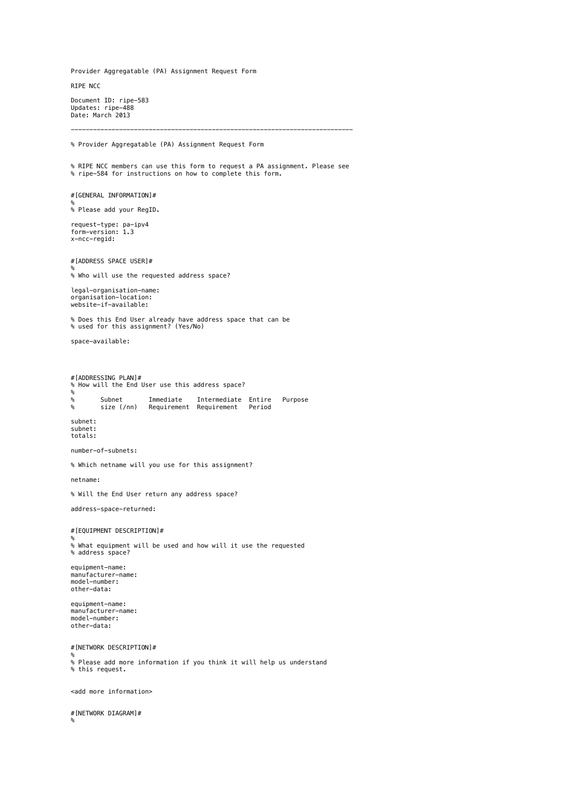Provider Aggregatable (PA) Assignment Request Form

RIPE NCC

Document ID: ripe-583 Updates: ripe-488 Date: March 2013

% Provider Aggregatable (PA) Assignment Request Form

% RIPE NCC members can use this form to request a PA assignment. Please see % [ripe-584](http://www.ripe.net/ripe/docs/iprequestsupport) for instructions on how to complete this form.

----------------------------------------------------------------------------

#[GENERAL INFORMATION]#

% % Please add your RegID.

request-type: pa-ipv4 form-version: 1.3 x-ncc-regid:

#[ADDRESS SPACE USER]#

% % Who will use the requested address space?

legal-organisation-name: organisation-location: website-if-available:

% Does this End User already have address space that can be % used for this assignment? (Yes/No)

space-available:

#[ADDRESSING PLAN]# % How will the End User use this address space? % % Subnet Immediate Intermediate Entire Purpose % size (/nn) Requirement Requirement Period

subnet: subnet: totals:

number-of-subnets:

% Which netname will you use for this assignment?

netname:

% Will the End User return any address space?

address-space-returned:

#[EQUIPMENT DESCRIPTION]#

% % What equipment will be used and how will it use the requested % address space?

equipment-name: manufacturer-name: model-number: other-data:

equipment-name: manufacturer-name: model-number: other-data:

#[NETWORK DESCRIPTION]#

% % Please add more information if you think it will help us understand % this request.

<add more information>

#[NETWORK DIAGRAM]# %